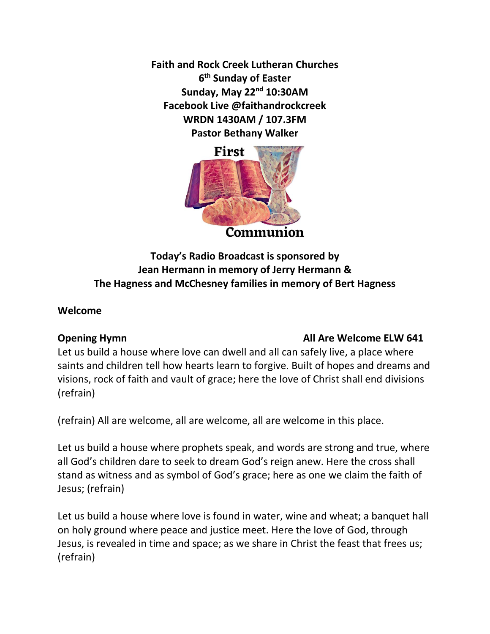**Faith and Rock Creek Lutheran Churches 6 th Sunday of Easter Sunday, May 22nd 10:30AM Facebook Live @faithandrockcreek WRDN 1430AM / 107.3FM Pastor Bethany Walker**



# **Today's Radio Broadcast is sponsored by Jean Hermann in memory of Jerry Hermann & The Hagness and McChesney families in memory of Bert Hagness**

#### **Welcome**

### **Opening Hymn COPENIER COPENIER ALL ARE WELCOME ELW 641**

Let us build a house where love can dwell and all can safely live, a place where saints and children tell how hearts learn to forgive. Built of hopes and dreams and visions, rock of faith and vault of grace; here the love of Christ shall end divisions (refrain)

(refrain) All are welcome, all are welcome, all are welcome in this place.

Let us build a house where prophets speak, and words are strong and true, where all God's children dare to seek to dream God's reign anew. Here the cross shall stand as witness and as symbol of God's grace; here as one we claim the faith of Jesus; (refrain)

Let us build a house where love is found in water, wine and wheat; a banquet hall on holy ground where peace and justice meet. Here the love of God, through Jesus, is revealed in time and space; as we share in Christ the feast that frees us; (refrain)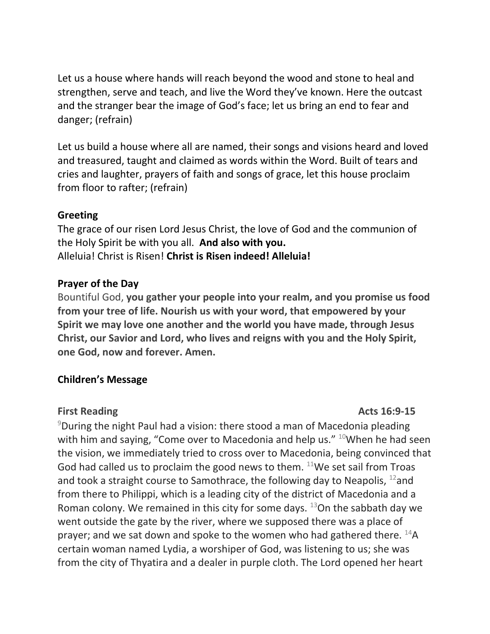Let us a house where hands will reach beyond the wood and stone to heal and strengthen, serve and teach, and live the Word they've known. Here the outcast and the stranger bear the image of God's face; let us bring an end to fear and danger; (refrain)

Let us build a house where all are named, their songs and visions heard and loved and treasured, taught and claimed as words within the Word. Built of tears and cries and laughter, prayers of faith and songs of grace, let this house proclaim from floor to rafter; (refrain)

#### **Greeting**

The grace of our risen Lord Jesus Christ, the love of God and the communion of the Holy Spirit be with you all. **And also with you.**  Alleluia! Christ is Risen! **Christ is Risen indeed! Alleluia!**

### **Prayer of the Day**

Bountiful God, **you gather your people into your realm, and you promise us food from your tree of life. Nourish us with your word, that empowered by your Spirit we may love one another and the world you have made, through Jesus Christ, our Savior and Lord, who lives and reigns with you and the Holy Spirit, one God, now and forever. Amen.**

### **Children's Message**

### **First Reading Acts 16:9-15**

 $9$ During the night Paul had a vision: there stood a man of Macedonia pleading with him and saying, "Come over to Macedonia and help us." <sup>10</sup>When he had seen the vision, we immediately tried to cross over to Macedonia, being convinced that God had called us to proclaim the good news to them.  $11$ We set sail from Troas and took a straight course to Samothrace, the following day to Neapolis,  $^{12}$ and from there to Philippi, which is a leading city of the district of Macedonia and a Roman colony. We remained in this city for some days.  $13$ On the sabbath day we went outside the gate by the river, where we supposed there was a place of prayer; and we sat down and spoke to the women who had gathered there.  $^{14}$ A certain woman named Lydia, a worshiper of God, was listening to us; she was from the city of Thyatira and a dealer in purple cloth. The Lord opened her heart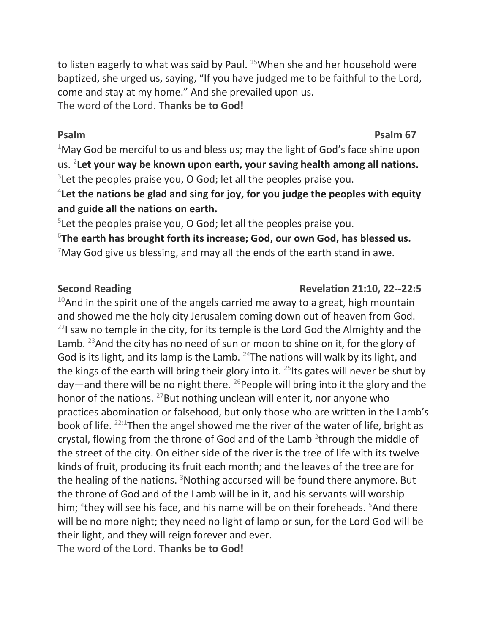to listen eagerly to what was said by Paul.  $15$ When she and her household were baptized, she urged us, saying, "If you have judged me to be faithful to the Lord, come and stay at my home." And she prevailed upon us. The word of the Lord. **Thanks be to God!**

# **Psalm Psalm 67**

<sup>1</sup>May God be merciful to us and bless us; may the light of God's face shine upon us. <sup>2</sup> **Let your way be known upon earth, your saving health among all nations.**  $3$ Let the peoples praise you, O God; let all the peoples praise you.

4 **Let the nations be glad and sing for joy, for you judge the peoples with equity and guide all the nations on earth.**

<sup>5</sup>Let the peoples praise you, O God; let all the peoples praise you.

<sup>6</sup>**The earth has brought forth its increase; God, our own God, has blessed us.**  $7$ May God give us blessing, and may all the ends of the earth stand in awe.

### Second Reading **Revelation 21:10, 22--22:5**

 $10$ And in the spirit one of the angels carried me away to a great, high mountain and showed me the holy city Jerusalem coming down out of heaven from God.  $22$ I saw no temple in the city, for its temple is the Lord God the Almighty and the Lamb. <sup>23</sup> And the city has no need of sun or moon to shine on it, for the glory of God is its light, and its lamp is the Lamb.  $^{24}$ The nations will walk by its light, and the kings of the earth will bring their glory into it.  $^{25}$  Its gates will never be shut by day—and there will be no night there.  $^{26}$ People will bring into it the glory and the honor of the nations.  $27$  But nothing unclean will enter it, nor anyone who practices abomination or falsehood, but only those who are written in the Lamb's book of life. 22:1Then the angel showed me the river of the water of life, bright as crystal, flowing from the throne of God and of the Lamb  $2$ through the middle of the street of the city. On either side of the river is the tree of life with its twelve kinds of fruit, producing its fruit each month; and the leaves of the tree are for the healing of the nations.  $3$ Nothing accursed will be found there anymore. But the throne of God and of the Lamb will be in it, and his servants will worship him; <sup>4</sup>they will see his face, and his name will be on their foreheads. <sup>5</sup>And there will be no more night; they need no light of lamp or sun, for the Lord God will be their light, and they will reign forever and ever.

The word of the Lord. **Thanks be to God!**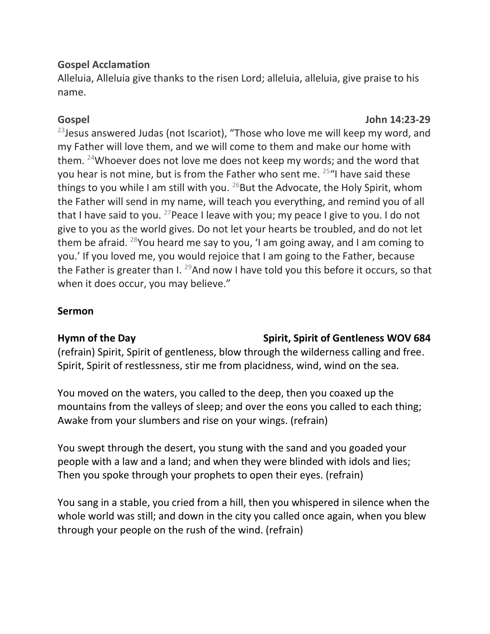## **Gospel Acclamation**

Alleluia, Alleluia give thanks to the risen Lord; alleluia, alleluia, give praise to his name.

## **Gospel John 14:23-29**

 $23$  Jesus answered Judas (not Iscariot), "Those who love me will keep my word, and my Father will love them, and we will come to them and make our home with them. <sup>24</sup>Whoever does not love me does not keep my words; and the word that you hear is not mine, but is from the Father who sent me. <sup>25</sup> "I have said these things to you while I am still with you.  $^{26}$ But the Advocate, the Holy Spirit, whom the Father will send in my name, will teach you everything, and remind you of all that I have said to you. <sup>27</sup> Peace I leave with you; my peace I give to you. I do not give to you as the world gives. Do not let your hearts be troubled, and do not let them be afraid. <sup>28</sup>You heard me say to you, 'I am going away, and I am coming to you.' If you loved me, you would rejoice that I am going to the Father, because the Father is greater than I.  $^{29}$ And now I have told you this before it occurs, so that when it does occur, you may believe."

## **Sermon**

# Hymn of the Day **Spirit, Spirit of Gentleness WOV 684**

(refrain) Spirit, Spirit of gentleness, blow through the wilderness calling and free. Spirit, Spirit of restlessness, stir me from placidness, wind, wind on the sea.

You moved on the waters, you called to the deep, then you coaxed up the mountains from the valleys of sleep; and over the eons you called to each thing; Awake from your slumbers and rise on your wings. (refrain)

You swept through the desert, you stung with the sand and you goaded your people with a law and a land; and when they were blinded with idols and lies; Then you spoke through your prophets to open their eyes. (refrain)

You sang in a stable, you cried from a hill, then you whispered in silence when the whole world was still; and down in the city you called once again, when you blew through your people on the rush of the wind. (refrain)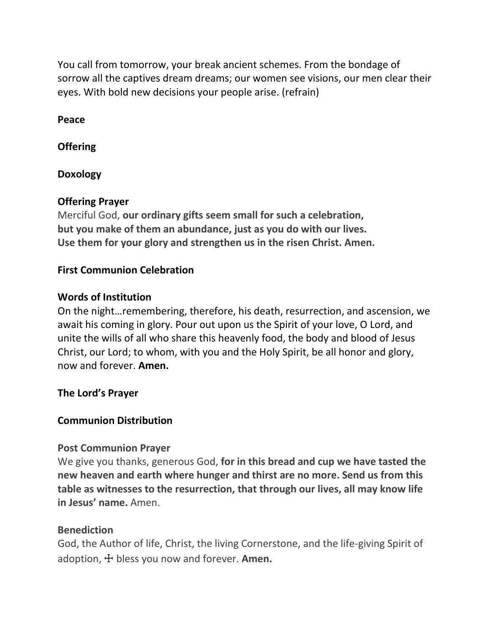You call from tomorrow, your break ancient schemes. From the bondage of sorrow all the captives dream dreams; our women see visions, our men clear their eyes. With bold new decisions your people arise. (refrain)

**Peace**

**Offering** 

**Doxology**

# **Offering Prayer**

Merciful God, **our ordinary gifts seem small for such a celebration, but you make of them an abundance, just as you do with our lives. Use them for your glory and strengthen us in the risen Christ. Amen.**

## **First Communion Celebration**

### **Words of Institution**

On the night…remembering, therefore, his death, resurrection, and ascension, we await his coming in glory. Pour out upon us the Spirit of your love, O Lord, and unite the wills of all who share this heavenly food, the body and blood of Jesus Christ, our Lord; to whom, with you and the Holy Spirit, be all honor and glory, now and forever. **Amen.**

### **The Lord's Prayer**

### **Communion Distribution**

### **Post Communion Prayer**

We give you thanks, generous God, **for in this bread and cup we have tasted the new heaven and earth where hunger and thirst are no more. Send us from this table as witnesses to the resurrection, that through our lives, all may know life in Jesus' name.** Amen.

### **Benediction**

God, the Author of life, Christ, the living Cornerstone, and the life-giving Spirit of adoption, ☩ bless you now and forever. **Amen.**